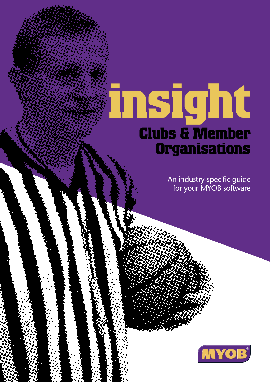# **insight Clubs & Member Organisations**

An industry-specific guide for your MYOB software

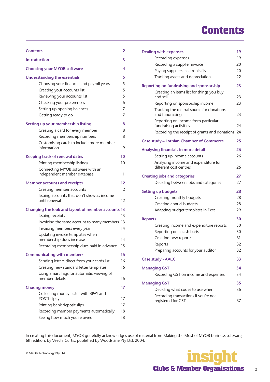# **Contents**

| <b>Contents</b>                                                                                                                                                                                                                    | $\overline{a}$                  |
|------------------------------------------------------------------------------------------------------------------------------------------------------------------------------------------------------------------------------------|---------------------------------|
| <b>Introduction</b>                                                                                                                                                                                                                | 3                               |
| <b>Choosing your MYOB software</b>                                                                                                                                                                                                 | 4                               |
| <b>Understanding the essentials</b><br>Choosing your financial and payroll years<br>Creating your accounts list<br>Reviewing your accounts list<br>Checking your preferences<br>Setting up opening balances<br>Getting ready to go | 5<br>5<br>5<br>5<br>6<br>7<br>7 |
| Setting up your membership listing                                                                                                                                                                                                 | 8                               |
| Creating a card for every member                                                                                                                                                                                                   | 8                               |
| Recording membership numbers                                                                                                                                                                                                       | 8                               |
| Customising cards to include more member<br>information                                                                                                                                                                            | 9                               |
| <b>Keeping track of renewal dates</b>                                                                                                                                                                                              | 10                              |
| Printing membership listings                                                                                                                                                                                                       | 10                              |
| Connecting MYOB software with an<br>independent member database                                                                                                                                                                    | 11                              |
| <b>Member accounts and receipts</b>                                                                                                                                                                                                | 12                              |
| Creating member accounts                                                                                                                                                                                                           | 12                              |
| Issuing accounts that don't show as income<br>until renewal                                                                                                                                                                        | 12                              |
| Changing the look and layout of member accounts 13                                                                                                                                                                                 |                                 |
| Issuing receipts                                                                                                                                                                                                                   | 13                              |
| Invoicing the same account to many members                                                                                                                                                                                         | 13                              |
| Invoicing members every year                                                                                                                                                                                                       | 14                              |
| Updating invoice templates when                                                                                                                                                                                                    |                                 |
| membership dues increase                                                                                                                                                                                                           | 14                              |
| Recording membership dues paid in advance                                                                                                                                                                                          | 15                              |
| <b>Communicating with members</b>                                                                                                                                                                                                  | 16                              |
| Sending letters direct from your cards list                                                                                                                                                                                        | 16                              |
| Creating new standard letter templates                                                                                                                                                                                             | 16                              |
| Using Smart Tags for automatic viewing of<br>member details                                                                                                                                                                        | 16                              |
| <b>Chasing money</b>                                                                                                                                                                                                               | 17                              |
| Collecting money faster with BPAY and                                                                                                                                                                                              |                                 |
| POSTbillpay                                                                                                                                                                                                                        | 17                              |
| Printing bank deposit slips                                                                                                                                                                                                        | 17                              |
| Recording member payments automatically                                                                                                                                                                                            | 18                              |
| Seeing how much you're owed                                                                                                                                                                                                        | 18                              |

| <b>Dealing with expenses</b>                                   | 19 |
|----------------------------------------------------------------|----|
| Recording expenses                                             | 19 |
| Recording a supplier invoice                                   | 20 |
| Paying suppliers electronically                                | 20 |
| Tracking assets and depreciation                               | 22 |
| <b>Reporting on fundraising and sponsorship</b>                | 23 |
| Creating an items list for things you buy<br>and sell          | 23 |
| Reporting on sponsorship income                                | 23 |
| Tracking the referral source for donations<br>and fundraising  | 23 |
| Reporting on income from particular<br>fundraising activities  | 24 |
| Recording the receipt of grants and donations                  | 24 |
| <b>Case study - Lothian Chamber of Commerce</b>                | 25 |
| Analysing financials in more detail                            | 26 |
| Setting up income accounts                                     | 26 |
| Analysing income and expenditure for<br>different cost centres | 26 |
| <b>Creating jobs and categories</b>                            | 27 |
| Deciding between jobs and categories                           | 27 |
| <b>Setting up budgets</b>                                      | 28 |
| Creating monthly budgets                                       | 28 |
| Creating annual budgets                                        | 28 |
| Adapting budget templates in Excel                             | 29 |
| <b>Reports</b>                                                 | 30 |
| Creating income and expenditure reports                        | 30 |
| Reporting on a cash basis                                      | 30 |
| Creating new reports                                           | 31 |
| Reports                                                        | 32 |
| Preparing accounts for your auditor                            | 32 |
| <b>Case study - AACC</b>                                       | 33 |
| <b>Managing GST</b>                                            | 34 |
| Recording GST on income and expenses                           | 34 |
| <b>Managing GST</b>                                            | 35 |
| Deciding what codes to use when                                | 36 |
| Recording transactions if you're not<br>registered for GST     | 37 |

In creating this document, MYOB gratefully acknowledges use of material from Making the Most of MYOB business software, 6th edition, by Veechi Curtis, published by Woodslane Pty Ltd, 2004.

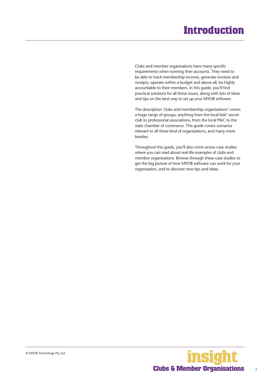# **Introduction**

<span id="page-2-0"></span>Clubs and member organisations have many specific requirements when running their accounts. They need to be able to track membership income, generate invoices and receipts, operate within a budget and above all, be highly accountable to their members. In this guide, you'll find practical solutions for all these issues, along with lots of ideas and tips on the best way to set up your MYOB software.

The description 'clubs and membership organisations' covers a huge range of groups, anything from the local kids' soccer club to professional associations, from the local P&C to the state chamber of commerce. This guide covers scenarios relevant to all these kind of organisations, and many more besides.

Throughout this guide, you'll also come across case studies where you can read about real-life examples of clubs and member organisations. Browse through these case studies to get the big picture of how MYOB software can work for your organisation, and to discover new tips and ideas.

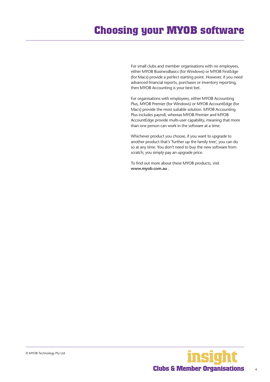# <span id="page-3-0"></span>**Choosing your MYOB software**

For small clubs and member organisations with no employees, either MYOB BusinessBasics (for Windows) or MYOB FirstEdge (for Macs) provide a perfect starting point. However, if you need advanced financial reports, purchases or inventory reporting, then MYOB Accounting is your best bet.

For organisations with employees, either MYOB Accounting Plus, MYOB Premier (for Windows) or MYOB AccountEdge (for Macs) provide the most suitable solution. MYOB Accounting Plus includes payroll, whereas MYOB Premier and MYOB AccountEdge provide multi-user capability, meaning that more than one person can work in the software at a time.

Whichever product you choose, if you want to upgrade to another product that's 'further up the family tree', you can do so at any time. You don't need to buy the new software from scratch; you simply pay an upgrade price.

To find out more about these MYOB products, visit **www.myob.com.au** .



4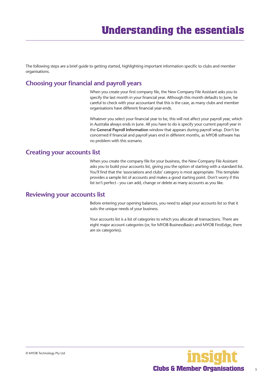<span id="page-4-0"></span>The following steps are a brief guide to getting started, highlighting important information specific to clubs and member organisations.

### **Choosing your financial and payroll years**

When you create your first company file, the New Company File Assistant asks you to specify the last month in your financial year. Although this month defaults to June, be careful to check with your accountant that this is the case, as many clubs and member organisations have different financial year-ends.

Whatever you select your financial year to be, this will not affect your payroll year, which in Australia always ends in June. All you have to do is specify your current payroll year in the **General Payroll Information** window that appears during payroll setup. Don't be concerned if financial and payroll years end in different months, as MYOB software has no problem with this scenario.

#### **Creating your accounts list**

When you create the company file for your business, the New Company File Assistant asks you to build your accounts list, giving you the option of starting with a standard list. You'll find that the 'associations and clubs' category is most appropriate. This template provides a sample list of accounts and makes a good starting point. Don't worry if this list isn't perfect - you can add, change or delete as many accounts as you like.

#### **Reviewing your accounts list**

Before entering your opening balances, you need to adapt your accounts list so that it suits the unique needs of your business.

Your accounts list is a list of categories to which you allocate all transactions. There are eight major account categories (or, for MYOB BusinessBasics and MYOB FirstEdge, there are six categories).

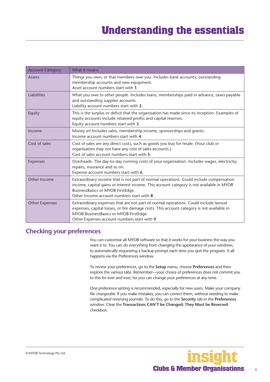<span id="page-5-0"></span>

| <b>Account Category</b> | What it means                                                                                                                                                                                                                                                               |
|-------------------------|-----------------------------------------------------------------------------------------------------------------------------------------------------------------------------------------------------------------------------------------------------------------------------|
| Assets                  | Things you own, or that members owe you. Includes bank accounts, outstanding<br>membership accounts and new equipment.<br>Asset account numbers start with 1.                                                                                                               |
| Liabilities             | What you owe to other people. Includes loans, memberships paid in advance, taxes payable<br>and outstanding supplier accounts.<br>Liability account numbers start with 2.                                                                                                   |
| Equity                  | This is the surplus or deficit that the organisation has made since its inception. Examples of<br>equity accounts include retained profits and capital reserves.<br>Equity account numbers start with 3.                                                                    |
| Income                  | Money in! Includes sales, membership income, sponsorships and grants.<br>Income account numbers start with 4.                                                                                                                                                               |
| Cost of sales           | Cost of sales are any direct costs, such as goods you buy for resale. (Your club or<br>organisation may not have any cost of sales accounts.)<br>Cost of sales account numbers start with 5.                                                                                |
| <b>Expenses</b>         | Overheads. The day-to-day running costs of your organisation. Includes wages, electricity,<br>repairs, insurance and so on.<br>Expense account numbers start with 6.                                                                                                        |
| Other Income            | Extraordinary income that is not part of normal operations. Could include compensation<br>income, capital gains or interest income. This account category is not available in MYOB<br>BusinessBasics or MYOB FirstEdge.<br>Other Income account numbers start with 8.       |
| <b>Other Expenses</b>   | Extraordinary expenses that are not part of normal operations. Could include lawsuit<br>expenses, capital losses, or fire damage costs. This account category is not available in<br>MYOB BusinessBasics or MYOB FirstEdge.<br>Other Expenses account numbers start with 9. |

### **Checking your preferences**

You can customise all MYOB software so that it works for your business the way you want it to. You can do everything from changing the appearance of your windows, to automatically requesting a backup prompt each time you quit the program. It all happens via the Preferences window.

To review your preferences, go to the **Setup** menu, choose **Preferences** and then explore the various tabs. Remember—your choice of preferences does not commit you to this for ever and ever, for you can change your preferences at any time.

One preference setting is recommended, especially for new users. Make your company file *changeable*. If you make mistakes, you can correct them, without needing to make complicated reversing journals. To do this, go to the **Security** tab in the **Preferences**  window. Clear the **Transactions CAN'T be Changed; They Must be Reversed**  checkbox.

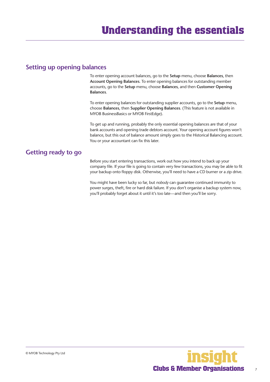#### <span id="page-6-0"></span>**Setting up opening balances**

To enter opening account balances, go to the **Setup** menu, choose **Balances**, then **Account Opening Balances**. To enter opening balances for outstanding member accounts, go to the **Setup** menu, choose **Balances**, and then **Customer Opening Balances**.

To enter opening balances for outstanding supplier accounts, go to the **Setup** menu, choose **Balances**, then **Supplier Opening Balances**. (This feature is not available in MYOB BusinessBasics or MYOB FirstEdge).

To get up and running, probably the only essential opening balances are that of your bank accounts and opening trade debtors account. Your opening account figures won't balance, but this out of balance amount simply goes to the Historical Balancing account. You or your accountant can fix this later.

### **Getting ready to go**

Before you start entering transactions, work out how you intend to back up your company file. If your file is going to contain very few transactions, you may be able to fit your backup onto floppy disk. Otherwise, you'll need to have a CD burner or a zip drive.

You might have been lucky so far, but *nobody* can guarantee continued immunity to power surges, theft, fire or hard disk failure. If you don't organise a backup system now, you'll probably forget about it until it's too late—and then you'll be sorry.

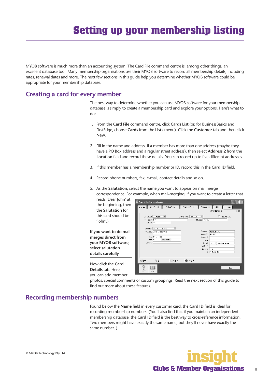# **Setting up your membership listing**

<span id="page-7-0"></span>MYOB software is much more than an accounting system. The Card File command centre is, among other things, an excellent database tool. Many membership organisations use their MYOB software to record all membership details, including rates, renewal dates and more. The next few sections in this guide help you determine whether MYOB software could be appropriate for your membership database.

#### **Creating a card for every member**

The best way to determine whether you can use MYOB software for your membership database is simply to create a membership card and explore your options. Here's what to do:

- 1. From the **Card File** command centre, click **Cards List** (or, for BusinessBasics and FirstEdge, choose **Cards** from the **Lists** menu). Click the **Customer** tab and then click **New**.
- 2. Fill in the name and address. If a member has more than one address (maybe they have a PO Box address and a regular street address), then select **Address 2** from the **Location** field and record these details. You can record up to five different addresses.
- 3. If this member has a membership number or ID, record this in the **Card ID** field.
- 4. Record phone numbers, fax, e-mail, contact details and so on.
- 5. As the **Salutation**, select the name you want to appear on mail merge correspondence. For example, when mail-merging, if you want to create a letter that



photos, special comments or custom groupings. Read the next section of this guide to find out more about these features.

### **Recording membership numbers**

'John'.)

Found below the **Name** field in every customer card, the **Card ID** field is ideal for recording membership numbers. (You'll also find that if you maintain an independent membership database, the **Card ID** field is the best way to cross-reference information. Two members might have exactly the same name, but they'll never have exactly the same number. )

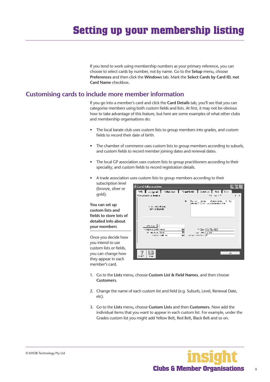# <span id="page-8-0"></span>**Setting up your membership listing**

If you tend to work using membership numbers as your primary reference, you can choose to select cards by number, not by name. Go to the **Setup** menu, choose **Preferences** and then click the **Windows** tab. Mark the **Select Cards by Card ID, not Card Name** checkbox.

#### **Customising cards to include more member information**

If you go into a member's card and click the **Card Details** tab, you'll see that you can categorise members using both custom fields and lists. At first, it may not be obvious how to take advantage of this feature, but here are some examples of what other clubs and membership organisations do:

- The local karate club uses custom lists to group members into grades, and custom fields to record their date of birth.
- The chamber of commerce uses custom lists to group members according to suburb, and custom fields to record member joining dates and renewal dates.
- The local GP association uses custom lists to group practitioners according to their speciality, and custom fields to record registration details.
- A trade association uses custom lists to group members according to their

subscription level (bronze, silver or gold).

**You can set up custom lists and fields to store lots of detailed info about your members**

Once you decide how you intend to use custom lists or fields, you can change how they appear in each member's card.



- 1. Go to the **Lists** menu, choose **Custom List & Field Names**, and then choose **Customers**.
- 2. Change the name of each custom list and field (e.g. Suburb, Level, Renewal Date, etc).
- 3. Go to the **Lists** menu, choose **Custom Lists** and then **Customers**. Now add the individual items that you want to appear in each custom list. For example, under the Grades custom list you might add Yellow Belt, Red Belt, Black Belt and so on.

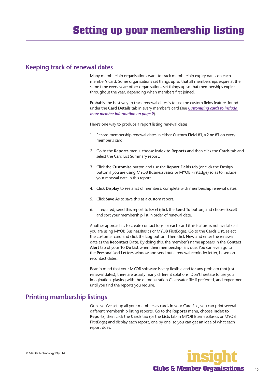#### <span id="page-9-0"></span>**Keeping track of renewal dates**

Many membership organisations want to track membership expiry dates on each member's card. Some organisations set things up so that all memberships expire at the same time every year; other organisations set things up so that memberships expire throughout the year, depending when members first joined.

Probably the best way to track renewal dates is to use the custom fields feature, found under the **Card Details** tab in every member's card (see *[Customising cards to include](#page-8-0)  [more member information on page 9](#page-8-0)*).

Here's one way to produce a report listing renewal dates:

- 1. Record membership renewal dates in either **Custom Field #1**, **#2 or #3** on every member's card.
- 2. Go to the **Reports** menu, choose **Index to Reports** and then click the **Cards** tab and select the Card List Summary report.
- 3. Click the **Customise** button and use the **Report Fields** tab (or click the **Design**  button if you are using MYOB BusinessBasics or MYOB FirstEdge) so as to include your renewal date in this report.
- 4. Click **Display** to see a list of members, complete with membership renewal dates.
- 5. Click **Save As** to save this as a custom report.
- 6. If required, send this report to Excel (click the **Send To** button, and choose **Excel**) and sort your membership list in order of renewal date.

Another approach is to create contact logs for each card (this feature is not available if you are using MYOB BusinessBasics or MYOB FirstEdge). Go to the **Cards List**, select the customer card and click the **Log** button. Then click **New** and enter the renewal date as the **Recontact Date**. By doing this, the member's name appears in the **Contact Alert** tab of your **To Do List** when their membership falls due. You can even go to the **Personalised Letters** window and send out a renewal reminder letter, based on recontact dates.

Bear in mind that your MYOB software is very flexible and for any problem (not just renewal dates), there are usually many different solutions. Don't hesitate to use your imagination, playing with the demonstration Clearwater file if preferred, and experiment until you find the reports you require.

### **Printing membership listings**

Once you've set up all your members as cards in your Card File, you can print several different membership listing reports. Go to the **Reports** menu, choose **Index to Reports**, then click the **Cards** tab (or the **Lists** tab in MYOB BusinessBasics or MYOB FirstEdge) and display each report, one by one, so you can get an idea of what each report does.

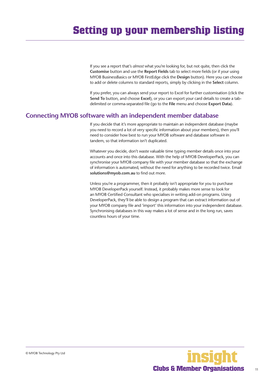<span id="page-10-0"></span>If you see a report that's *almost* what you're looking for, but not quite, then click the **Customise** button and use the **Report Fields** tab to select more fields (or if your using MYOB BusinessBasics or MYOB FirstEdge click the **Design** button). Here you can choose to add or delete columns to standard reports, simply by clicking in the **Select** column.

If you prefer, you can always send your report to Excel for further customisation (click the **Send To** button, and choose **Excel**), or you can export your card details to create a tabdelimited or comma-separated file (go to the **File** menu and choose **Export Data**).

#### **Connecting MYOB software with an independent member database**

If you decide that it's more appropriate to maintain an independent database (maybe you need to record a lot of very specific information about your members), then you'll need to consider how best to run your MYOB software and database software in tandem, so that information isn't duplicated.

Whatever you decide, don't waste valuable time typing member details once into your accounts and once into this database. With the help of MYOB DeveloperPack, you can synchronise your MYOB company file with your member database so that the exchange of information is automated, without the need for anything to be recorded twice. Email **solutions@myob.com.au** to find out more.

Unless you're a programmer, then it probably isn't appropriate for you to purchase MYOB DeveloperPack yourself. Instead, it probably makes more sense to look for an MYOB Certified Consultant who specialises in writing add-on programs. Using DeveloperPack, they'll be able to design a program that can extract information out of your MYOB company file and 'import' this information into your independent database. Synchronising databases in this way makes a lot of sense and in the long run, saves countless hours of your time.

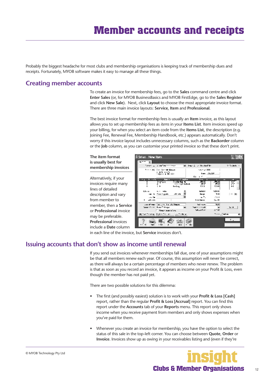<span id="page-11-0"></span>Probably the biggest headache for most clubs and membership organisations is keeping track of membership dues and receipts. Fortunately, MYOB software makes it easy to manage all these things.

#### **Creating member accounts**

To create an invoice for membership fees, go to the **Sales** command centre and click **Enter Sales** (or, for MYOB BusinessBasics and MYOB FirstEdge, go to the **Sales Register**  and click **New Sale**).Next, click **Layout** to choose the most appropriate invoice format. There are three main invoice layouts: **Service**, **Item** and **Professional**.

The best invoice format for membership fees is usually an **Item** invoice, as this layout allows you to set up membership fees as *items* in your **Items List**. Item invoices speed up your billing, for when you select an item code from the **Items List**, the description (e.g. Joining Fee, Renewal Fee, Membership Handbook, etc.) appears automatically. Don't worry if this invoice layout includes unnecessary columns, such as the **Backorder** column or the **Job** column, as you can customise your printed invoice so that these don't print.

#### **The item format is usually best for membership invoices**

Alternatively, if your invoices require many lines of detailed description and vary from member to member, then a **Service**  or **Professional** invoice may be preferable. **Professional** invoices include a **Date** column



in each line of the invoice, but **Service** invoices don't.

#### **Issuing accounts that don't show as income until renewal**

If you send out invoices whenever memberships fall due, one of your assumptions might be that all members renew each year. Of course, this assumption will never be correct, as there will always be a certain percentage of members who never renew. The problem is that as soon as you record an invoice, it appears as income on your Profit & Loss, even though the member has not paid yet.

There are two possible solutions for this dilemma:

- The first (and possibly easiest) solution is to work with your **Profit & Loss [Cash]** report, rather than the regular **Profit & Loss [Accrual]** report. You can find this report under the **Accounts** tab of your **Reports** menu. This report only shows income when you receive payment from members and only shows expenses when you've paid for them.
- Whenever you create an invoice for membership, you have the option to select the status of this sale in the top-left corner. You can choose between **Quote**, **Order** or **Invoice**. Invoices show up as owing in your receivables listing and (even if they're

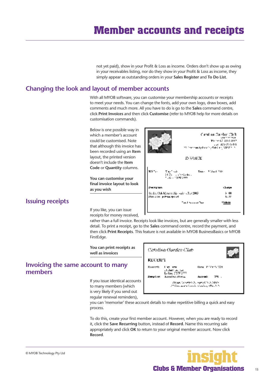not yet paid), show in your Profit & Loss as income. Orders don't show up as owing in your receivables listing, nor do they show in your Profit & Loss as income, they simply appear as outstanding orders in your **Sales Register** and **To Do List**.

#### <span id="page-12-0"></span>**Changing the look and layout of member accounts**

With all MYOB software, you can customise your membership accounts or receipts to meet your needs. You can change the fonts, add your own logo, draw boxes, add comments and much more. All you have to do is go to the **Sales** command centre, click **Print Invoices** and then click **Customise** (refer to MYOB help for more details on customisation commands).

Below is one possible way in which a member's account could be customised. Note that although this invoice has been recorded using an **Item**  layout, the printed version doesn't include the **Item Code** or **Quantity** columns.

**You can customise your final invoice layout to look as you wish**



## **Issuing receipts**

If you like, you can issue receipts for money received,

rather than a full invoice. Receipts look like invoices, but are generally smaller with less detail. To print a receipt, go to the **Sales** command centre, record the payment, and then click **Print Receipts**. This feature is not available in MYOB BusinessBasics or MYOB FirstEdge.

**You can print receipts as well as invoices**

#### **Invoicing the same account to many members**

If you issue identical accounts to many members (which is very likely if you send out regular renewal reminders),



you can 'memorise' these account details to make repetitive billing a quick and easy process.

To do this, create your first member account. However, when you are ready to record it, click the **Save Recurring** button, instead of **Record**. Name this recurring sale appropriately and click **OK** to return to your original member account. Now click **Record**.



#### © MYOB Technology Pty Ltd

13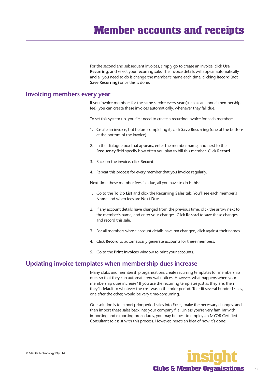For the second and subsequent invoices, simply go to create an invoice, click **Use Recurring**, and select your recurring sale. The invoice details will appear automatically and all you need to do is change the member's name each time, clicking **Record** (not **Save Recurring**) once this is done.

#### <span id="page-13-0"></span>**Invoicing members every year**

If you invoice members for the same service every year (such as an annual membership fee), you can create these invoices automatically, whenever they fall due.

To set this system up, you first need to create a recurring invoice for each member:

- 1. Create an invoice, but before completing it, click **Save Recurring** (one of the buttons at the bottom of the invoice).
- 2. In the dialogue box that appears, enter the member name, and next to the **Frequency** field specify how often you plan to bill this member. Click **Record**.
- 3. Back on the invoice, click **Record**.
- 4. Repeat this process for every member that you invoice regularly.

Next time these member fees fall due, all you have to do is this:

- 1. Go to the **To Do List** and click the **Recurring Sales** tab. You'll see each member's **Name** and when fees are **Next Due**.
- 2. If any account details have changed from the previous time, click the arrow next to the member's name, and enter your changes. Click **Record** to save these changes and record this sale.
- 3. For all members whose account details have *not* changed, click against their names.
- 4. Click **Record** to automatically generate accounts for these members.
- 5. Go to the **Print Invoices** window to print your accounts.

## **Updating invoice templates when membership dues increase**

Many clubs and membership organisations create recurring templates for membership dues so that they can automate renewal notices. However, what happens when your membership dues increase? If you use the recurring templates just as they are, then they'll default to whatever the cost was in the prior period. To edit several hundred sales, one after the other, would be very time-consuming.

One solution is to export prior period sales into Excel, make the necessary changes, and then import these sales back into your company file. Unless you're very familiar with importing and exporting procedures, you may be best to employ an MYOB Certified Consultant to assist with this process. However, here's an idea of how it's done:

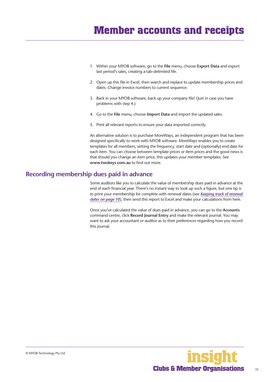- <span id="page-14-0"></span>1. Within your MYOB software, go to the **File** menu, choose **Export Data** and export last period's sales, creating a tab-delimited file.
- 2. Open up this file in Excel, then search and replace to update membership prices and dates. Change invoice numbers to current sequence.
- 3. Back in your MYOB software, back up your company file! (Just in case you have problems with step 4.)
- 4. Go to the **File** menu, choose **Import Data** and import the updated sales.
- 5. Print all relevant reports to ensure your data imported correctly.

An alternative solution is to purchase MoreWays, an independent program that has been designed specifically to work with MYOB software. MoreWays enables you to create templates for all members, setting the frequency, start date and (optionally) end date for each item. You can choose between template prices or item prices and the good news is that should you change an item price, this updates your member templates. See **www.twokeys.com.au** to find out more.

#### **Recording membership dues paid in advance**

Some auditors like you to calculate the value of membership dues paid in advance at the end of each financial year. There's no instant way to look up such a figure, but one tip is to print your membership list complete with renewal dates (see *[Keeping track of renewal](#page-9-0)  [dates on page 10](#page-9-0)*), then send this report to Excel and make your calculations from here.

Once you've calculated the value of dues paid in advance, you can go to the **Accounts**  command centre, click **Record Journal Entry** and make the relevant journal. You may want to ask your accountant or auditor as to their preferences regarding how you record this journal.

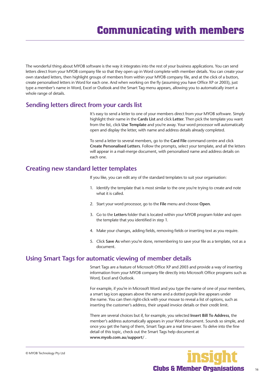<span id="page-15-0"></span>The wonderful thing about MYOB software is the way it integrates into the rest of your business applications. You can send letters direct from your MYOB company file so that they open up in Word complete with member details. You can create your own standard letters, then highlight groups of members from within your MYOB company file, and at the click of a button, create personalised letters in Word for each one. And when working on the fly (assuming you have Office XP or 2003), just type a member's name in Word, Excel or Outlook and the Smart Tag menu appears, allowing you to automatically insert a whole range of details.

#### **Sending letters direct from your cards list**

It's easy to send a letter to one of your members direct from your MYOB software. Simply highlight their name in the **Cards List** and click **Letter**. Then pick the template you want from the list, click **Use Template** and you're away. Your word processor will automatically open and display the letter, with name and address details already completed.

To send a letter to several members, go to the **Card File** command centre and click **Create Personalised Letters**. Follow the prompts, select your template, and all the letters will appear in a mail-merge document, with personalised name and address details on each one.

#### **Creating new standard letter templates**

If you like, you can edit any of the standard templates to suit your organisation:

- 1. Identify the template that is most similar to the one you're trying to create and note what it is called.
- 2. Start your word processor, go to the **File** menu and choose **Open**.
- 3. Go to the **Letters** folder that is located within your MYOB program folder and open the template that you identified in step 1.
- 4. Make your changes, adding fields, removing fields or inserting text as you require.
- 5. Click **Save As** when you're done, remembering to save your file as a template, not as a document.

#### **Using Smart Tags for automatic viewing of member details**

Smart Tags are a feature of Microsoft Office XP and 2003 and provide a way of inserting information from your MYOB company file directly into Microsoft Office programs such as Word, Excel and Outlook.

For example, if you're in Microsoft Word and you type the name of one of your members, a smart tag icon appears above the name and a dotted purple line appears under the name. You can then right-click with your mouse to reveal a list of options, such as inserting the customer's address, their unpaid invoice details or their credit limit.

There are several choices but if, for example, you selected **Insert Bill To Address**, the member's address automatically appears in your Word document. Sounds so simple, and once you get the hang of them, Smart Tags are a real time-saver. To delve into the fine detail of this topic, check out the Smart Tags help document at **www.myob.com.au/support/** .

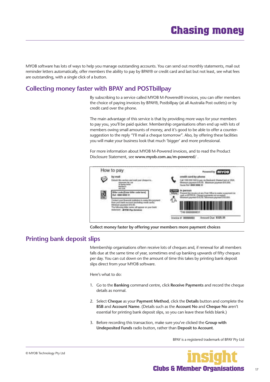<span id="page-16-0"></span>MYOB software has lots of ways to help you manage outstanding accounts. You can send out monthly statements, mail out reminder letters automatically, offer members the ability to pay by BPAY® or credit card and last but not least, see what fees are outstanding, with a single click of a button.

## **Collecting money faster with BPAY and POSTbillpay**

By subscribing to a service called MYOB M-Powered® invoices, you can offer members the choice of paying invoices by BPAY®, Postbillpay (at all Australia Post outlets) or by credit card over the phone.

The main advantage of this service is that by providing more ways for your members to pay you, you'll be paid quicker. Membership organisations often end up with lots of members owing small amounts of money, and it's good to be able to offer a countersuggestion to the reply "I'll mail a cheque tomorrow". Also, by offering these facilities you will make your business look that much 'bigger' and more professional.

For more information about MYOB M-Powered invoices, and to read the Product Disclosure Statement, see **www.myob.com.au/m-powered/** .



**Collect money faster by offering your members more payment choices**

#### **Printing bank deposit slips**

Membership organisations often receive lots of cheques and, if renewal for all members falls due at the same time of year, sometimes end up banking upwards of fifty cheques per day. You can cut down on the amount of time this takes by printing bank deposit slips direct from your MYOB software.

Here's what to do:

- 1. Go to the **Banking** command centre, click **Receive Payments** and record the cheque details as normal.
- 2. Select **Cheque** as your **Payment Method**, click the **Details** button and complete the **BSB** and **Account Name**. (Details such as the **Account No** and **Cheque No** aren't essential for printing bank deposit slips, so you can leave these fields blank.)
- 3. Before recording this transaction, make sure you've clicked the **Group with Undeposited Funds** radio button, rather than **Deposit to Account**.

BPAY is a registered trademark of BPAY Pty Ltd

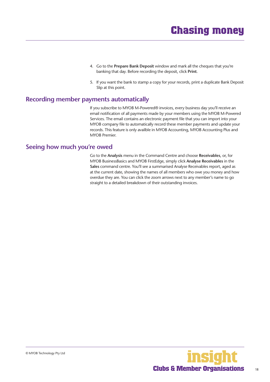- 4. Go to the **Prepare Bank Deposit** window and mark all the cheques that you're banking that day. Before recording the deposit, click **Print**.
- 5. If you want the bank to stamp a copy for your records, print a duplicate Bank Deposit Slip at this point.

#### <span id="page-17-0"></span>**Recording member payments automatically**

If you subscribe to MYOB M-Powered® invoices, every business day you'll receive an email notification of all payments made by your members using the MYOB M-Powered Services. The email contains an electronic payment file that you can import into your MYOB company file to automatically record these member payments and update your records. This feature is only availble in MYOB Accounting, MYOB Accounting Plus and MYOB Premier.

#### **Seeing how much you're owed**

Go to the **Analysis** menu in the Command Centre and choose **Receivables**, or, for MYOB BusinessBasics and MYOB FirstEdge, simply click **Analyse Receivables** in the **Sales** command centre. You'll see a summarised Analyse Receivables report, aged as at the current date, showing the names of all members who owe you money and how overdue they are. You can click the zoom arrows next to any member's name to go straight to a detailed breakdown of their outstanding invoices.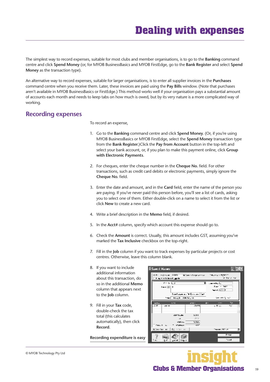<span id="page-18-0"></span>The simplest way to record expenses, suitable for most clubs and member organisations, is to go to the **Banking** command centre and click **Spend Money** (or, for MYOB BusinessBasics and MYOB FirstEdge, go to the **Bank Register** and select **Spend Money** as the transaction type).

An alternative way to record expenses, suitable for larger organisations, is to enter all supplier invoices in the **Purchases**  command centre when you receive them. Later, these invoices are paid using the **Pay Bills** window. (Note that purchases aren't available in MYOB BusinessBasics or FirstEdge.) This method works well if your organisation pays a substantial amount of accounts each month and needs to keep tabs on how much is owed, but by its very nature is a more complicated way of working.

#### **Recording expenses**

To record an expense,

- 1. Go to the **Banking** command centre and click **Spend Money**. (Or, if you're using MYOB BusinessBasics or MYOB FirstEdge, select the **Spend Money** transaction type from the **Bank Register**.)Click the **Pay from Account** button in the top-left and select your bank account, or, if you plan to make this payment online, click **Group with Electronic Payments**.
- 2. For cheques, enter the cheque number in the **Cheque No.** field. For other transactions, such as credit card debits or electronic payments, simply ignore the **Cheque No.** field.
- 3. Enter the date and amount, and in the **Card** field, enter the name of the person you are paying. If you've never paid this person before, you'll see a list of cards, asking you to select one of them. Either double-click on a name to select it from the list or click **New** to create a new card.
- 4. Write a brief description in the **Memo** field, if desired.
- 5. In the **Acct#** column, specify which account this expense should go to.
- 6. Check the **Amount** is correct. Usually, this amount includes GST, assuming you've marked the **Tax Inclusive** checkbox on the top-right.
- 7. Fill in the **Job** column if you want to track expenses by particular projects or cost centres. Otherwise, leave this column blank.
- 8. If you want to include additional information about this transaction, do so in the additional **Memo**  column that appears next to the **Job** column.
- 9. Fill in your **Tax** code, double-check the tax total (this calculates automatically), then click **Record**.

**Recording expenditure is easy**

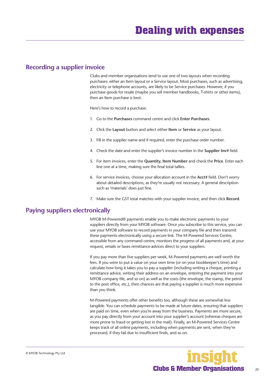#### <span id="page-19-0"></span>**Recording a supplier invoice**

Clubs and member organisations tend to use one of two layouts when recording purchases: either an Item layout or a Service layout. Most purchases, such as advertising, electricity or telephone accounts, are likely to be Service purchases. However, if you purchase goods for resale (maybe you sell member handbooks, T-shirts or other items), then an Item purchase is best.

Here's how to record a purchase:

- 1. Go to the **Purchases** command centre and click **Enter Purchases**.
- 2. Click the **Layout** button and select either **Item** or **Service** as your layout.
- 3. Fill in the supplier name and if required, enter the purchase order number.
- 4. Check the date and enter the supplier's invoice number in the **Supplier Inv#** field.
- 5. For item invoices, enter the **Quantity**, **Item Number** and check the **Price**. Enter each line one at a time, making sure the final total tallies.
- 6. For service invoices, choose your allocation account in the **Acct#** field. Don't worry about detailed descriptions, as they're usually not necessary. A general description such as 'materials' does just fine.
- 7. Make sure the GST total matches with your supplier invoice, and then click **Record**.

#### **Paying suppliers electronically**

MYOB M-Powered® payments enable you to make electronic payments to your suppliers directly from your MYOB software. Once you subscribe to this service, you can use your MYOB software to record payments in your company file and then transmit these payments electronically using a secure link. The M-Powered Services Centre, accessible from any command centre, monitors the progress of all payments and, at your request, emails or faxes remittance advices direct to your suppliers.

If you pay more than five suppliers per week, M-Powered payments are well worth the fees. If you were to put a value on your own time (or on your bookkeeper's time) and calculate how long it takes you to pay a supplier (including writing a cheque, printing a remittance advice, writing their address on an envelope, entering the payment into your MYOB company file, and so on) as well as the costs (the envelope, the stamp, the petrol to the post office, etc.), then chances are that paying a supplier is much more expensive than you think.

M-Powered payments offer other benefits too, although these are somewhat less tangible. You can schedule payments to be made at future dates, ensuring that suppliers are paid on time, even when you're away from the business. Payments are more secure, as you pay directly from your account into your supplier's account (whereas cheques are more prone to fraud or getting lost in the mail). Finally, an M-Powered Services Centre keeps track of all online payments, including when payments are sent, when they're processed, if they fail due to insufficient finds, and so on.

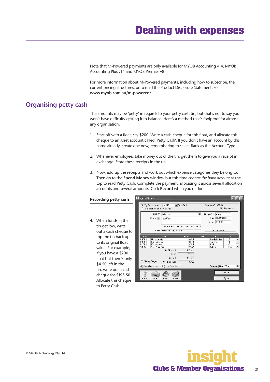# **Dealing with expenses**

Note that M-Powered payments are only available for MYOB Accounting v14, MYOB Accounting Plus v14 and MYOB Premier v8.

For more information about M-Powered payments, including how to subscribe, the current pricing structures, or to read the Product Disclosure Statement, see **www.myob.com.au/m-powered/** .

#### **Organising petty cash**

The amounts may be 'petty' in regards to your petty cash tin, but that's not to say you won't have difficulty getting it to balance. Here's a method that's foolproof for almost any organisation:

- 1. Start off with a float, say \$200. Write a cash cheque for this float, and allocate this cheque to an asset account called 'Petty Cash'. If you don't have an account by this name already, create one now, remembering to select Bank as the Account Type.
- 2. Whenever employees take money out of the tin, get them to give you a receipt in exchange. Store these receipts in the tin.
- 3. Now, add up the receipts and work out which expense categories they belong to. Then go to the **Spend Money** window but this time *change the bank account* at the top to read Petty Cash**.** Complete the payment, allocating it across several allocation accounts and several amounts. Click **Record** when you're done.

#### **Recording petty ca**

4. When funds in th tin get low, write out a cash chequ top the tin back to its original floa value. For examp if you have a \$20 float but there's \$4.50 left in the tin, write out a ca cheque for \$195. Allocate this che to Petty Cash.

| sh                 | <b>Ellopard Water</b>                                                                                                                             | 口回风                                                                                                |
|--------------------|---------------------------------------------------------------------------------------------------------------------------------------------------|----------------------------------------------------------------------------------------------------|
|                    | 同時の後に<br>$\mathbf{1} \cdot \mathbf{1}$<br>Turkin voorun<br>a consideration of the con-                                                            | Diamond (1932).<br>Filosofies                                                                      |
| he                 | $208.77$ $\overline{1011}$ $\overline{10}$<br>╗<br>Kent Till kollah                                                                               | <b>Market Comment</b><br><b>CHILD 2002</b><br>A - PIX                                              |
| Ê<br>ue to         | the model of the control of the control of the<br>the contract, sure                                                                              | アラル・ストラー こう                                                                                        |
| up<br>at<br>ble,   | $\sim$ 4.1<br><b>Carried</b><br>5.11<br>Ultrate set:<br>uw<br>۴ŏ<br>6170<br><b>Cleveland</b><br><b>FTI</b><br>Para sa<br>H.<br>61.52<br>Safe when | <b>J</b> 11<br>$\mathbf{r}$<br>$\frac{1}{2}$<br>l sebistar<br>in v r<br>÷.<br><b></b><br>ka e<br>m |
| )0<br>only         | 4.29.000<br>$1 - 11$<br>6.45<br>a an<br>こんじょ<br>n tr<br><b>ENRY TER</b><br>クス<br><b>U.B.Rose</b>                                                  |                                                                                                    |
|                    | <b>Countracte</b><br>(C) Smallers and                                                                                                             | Castro: Head Chief<br>ы                                                                            |
| ash<br>.50.<br>que | $\cdots$<br>.<br>- 1111<br>. .                                                                                                                    | $\cdots$<br>Kansa                                                                                  |

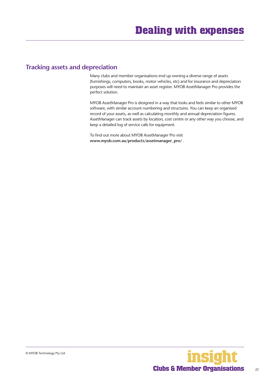#### <span id="page-21-0"></span>**Tracking assets and depreciation**

Many clubs and member organisations end up owning a diverse range of assets (furnishings, computers, books, motor vehicles, etc) and for insurance and depreciation purposes will need to maintain an asset register. MYOB AssetManager Pro provides the perfect solution.

MYOB AssetManager Pro is designed in a way that looks and feels similar to other MYOB software, with similar account numbering and structures. You can keep an organised record of your assets, as well as calculating monthly and annual depreciation figures. AssetManager can track assets by location, cost centre or any other way you choose, and keep a detailed log of service calls for equipment.

To find out more about MYOB AssetManager Pro visit **www.myob.com.au/products/assetmanager\_pro/** .

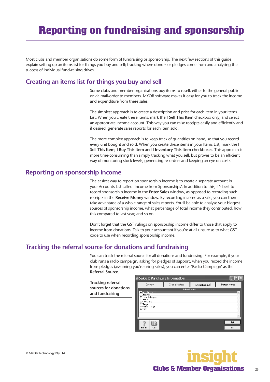# <span id="page-22-0"></span>**Reporting on fundraising and sponsorship**

Most clubs and member organisations do some form of fundraising or sponsorship. The next few sections of this guide explain setting up an items list for things you buy and sell; tracking where donors or pledges come from and analysing the success of individual fund-raising drives.

### **Creating an items list for things you buy and sell**

Some clubs and member organisations buy items to resell, either to the general public or via mail-order to members. MYOB software makes it easy for you to track the income and expenditure from these sales.

The simplest approach is to create a description and price for each item in your Items List. When you create these items, mark the **I Sell This Item** checkbox only, and select an appropriate income account. This way you can raise receipts easily and efficiently and if desired, generate sales reports for each item sold.

The more complex approach is to keep track of quantities on hand, so that you record every unit bought and sold. When you create these items in your Items List, mark the **I Sell This Item**, **I Buy This Item** and **I Inventory This Item** checkboxes. This approach is more time-consuming than simply tracking what you sell, but proves to be an efficient way of monitoring stock levels, generating re-orders and keeping an eye on costs.

#### **Reporting on sponsorship income**

The easiest way to report on sponsorship income is to create a separate account in your Accounts List called 'Income from Sponsorships'. In addition to this, it's best to record sponsorship income in the **Enter Sales** window, as opposed to recording such receipts in the **Receive Money** window. By recording income as a sale, you can then take advantage of a whole range of sales reports. You'll be able to analyse your biggest sources of sponsorship income, what percentage of total income they contributed, how this compared to last year, and so on.

Don't forget that the GST rulings on sponsorship income differ to those that apply to income from donations. Talk to your accountant if you're at all unsure as to what GST code to use when recording sponsorship income.

## **Tracking the referral source for donations and fundraising**

You can track the referral source for all donations and fundraising. For example, if your club runs a radio campaign, asking for pledges of support, when you record the income from pledges (assuming you're using sales), you can enter 'Radio Campaign' as the **Referral Source**.

**Tracking referral sources for donations and fundraising**

| # Sales & Purchases Information                                             |                  |               |              |
|-----------------------------------------------------------------------------|------------------|---------------|--------------|
| 2:2:3                                                                       | Dros atrofect    | i Arastianus) | Power noise  |
| Berein Gem<br>жын<br>a i la lagua<br>.<br>$\sim$<br><b>195</b><br><br>- 11. | <b>Label Age</b> |               |              |
| <b>L.I.L.</b><br>$\cdots$                                                   |                  |               | $\mathbf{L}$ |

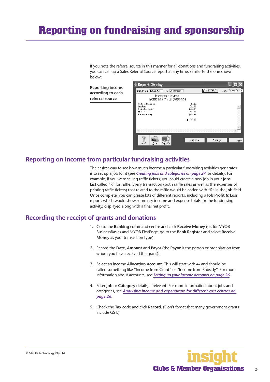# <span id="page-23-0"></span>**Reporting on fundraising and sponsorship**

If you note the referral source in this manner for all donations and fundraising activities, you can call up a Sales Referral Source report at any time, similar to the one shown below:

**Reporting income according to each referral source**



#### **Reporting on income from particular fundraising activities**

The easiest way to see how much income a particular fundraising activities generates is to set up a job for it (see *[Creating jobs and categories on page 27](#page-26-0)* for details). For example, if you were selling raffle tickets, you could create a new job in your **Jobs List** called "R" for raffle. Every transaction (both raffle sales as well as the expenses of printing raffle tickets) that related to the raffle would be coded with "R" in the **Job** field. Once complete, you can create lots of different reports, including a **Job Profit & Loss**  report, which would show summary income and expense totals for the fundraising activity, displayed along with a final net profit.

### **Recording the receipt of grants and donations**

- 1. Go to the **Banking** command centre and click **Receive Money** (or, for MYOB BusinessBasics and MYOB FirstEdge, go to the **Bank Register** and select **Receive Money** as your transaction type)**.**
- 2. Record the **Date, Amount** and **Payor** (the **Payor** is the person or organisation from whom you have received the grant).
- 3. Select an income **Allocation Account**. This will start with **4-** and should be called something like "Income from Grant" or "Income from Subsidy". For more information about accounts, see *[Setting up your income accounts on page 26](#page-25-0)*.
- 4. Enter **Job** or **Category** details, if relevant. For more information about jobs and categories, see *[Analysing income and expenditure for different cost centres on](#page-25-0)  [page 26](#page-25-0)*.
- 5. Check the **Tax** code and click **Record**. (Don't forget that many government grants include GST.)

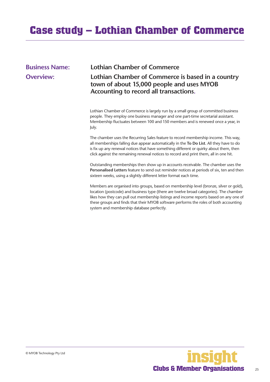# <span id="page-24-0"></span>**Case study – Lothian Chamber of Commerce**

#### **Business Name: Lothian Chamber of Commerce**

### **Overview: Lothian Chamber of Commerce is based in a country town of about 15,000 people and uses MYOB Accounting to record all transactions.**

Lothian Chamber of Commerce is largely run by a small group of committed business people. They employ one business manager and one part-time secretarial assistant. Membership fluctuates between 100 and 150 members and is renewed once a year, in July.

The chamber uses the Recurring Sales feature to record membership income. This way, all memberships falling due appear automatically in the **To Do List**. All they have to do is fix up any renewal notices that have something different or quirky about them, then click against the remaining renewal notices to record and print them, all in one hit.

Outstanding memberships then show up in accounts receivable. The chamber uses the **Personalised Letters** feature to send out reminder notices at periods of six, ten and then sixteen weeks, using a slightly different letter format each time.

Members are organised into groups, based on membership level (bronze, silver or gold), location (postcode) and business type (there are twelve broad categories). The chamber likes how they can pull out membership listings and income reports based on any one of these groups and finds that their MYOB software performs the roles of both accounting system and membership database perfectly.

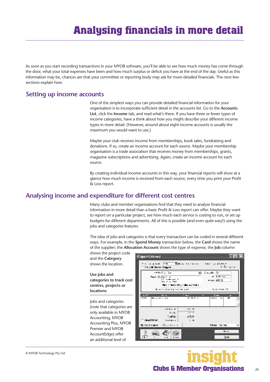<span id="page-25-0"></span>As soon as you start recording transactions in your MYOB software, you'll be able to see how much money has come through the door, what your total expenses have been and how much surplus or deficit you have at the end of the day. Useful as this information may be, chances are that your committee or reporting body may ask for more detailed financials. The next few sections explain how.

#### **Setting up income accounts**

One of the simplest ways you can provide detailed financial information for your organisation is to incorporate sufficient detail in the accounts list. Go to the **Accounts List**, click the **Income** tab, and read what's there. If you have three or fewer types of income categories, have a think about how you might describe your different income types in more detail. (However, around about eight income accounts is usually the maximum you would want to use.)

Maybe your club receives income from memberships, book sales, fundraising and donations. If so, create an income account for each source. Maybe your membership organisation is a trade association that receives money from memberships, grants, magazine subscriptions and advertising. Again, create an income account for each source.

By creating individual income accounts in this way, your financial reports will show at a glance how much income is received from each source, every time you print your Profit & Loss report.

#### **Analysing income and expenditure for different cost centres**

Many clubs and member organisations find that they need to analyse financial information in more detail than a basic Profit & Loss report can offer. Maybe they want to report on a particular project, see how much each service is costing to run, or set up budgets for different departments. All of this is possible (and even quite easy!) using the jobs and categories features.

The idea of jobs and categories is that every transaction can be coded in several different ways. For example, in the **Spend Money** transaction below, the **Card** shows the name of the supplier; the **Allocation Account** shows the type of expense, the **Job** column

shows the project code and the **Category**  shows the location.

**Use jobs and categories to track cost centres, projects or locations**

Jobs and categories (note that categories are only available in MYOB Accounting, MYOB Accounting Plus, MYOB Premier and MYOB AccountEdge) offer an additional level of



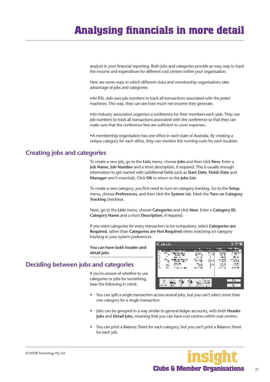# <span id="page-26-0"></span>**Analysing financials in more detail**

analysis in your financial reporting. Both jobs and categories provide an easy way to track the income and expenditure for different cost centres within your organisation.

Here are some ways in which different clubs and membership organisations take advantage of jobs and categories:

• An RSL club uses job numbers to track all transactions associated with the poker machines. This way, they can see how much net income they generate.

• An industry association organises a conference for their members each year. They use job numbers to track all transactions associated with the conference so that they can make sure that the conference fees are sufficient to cover expenses.

• A membership organisation has one office in each state of Australia. By creating a unique category for each office, they can monitor the running costs for each location.

#### **Creating jobs and categories**

To create a new job, go to the **Lists** menu, choose **Jobs** and then click **New**. Enter a **Job Name**, **Job Number** and a short description, if required. This is usually enough information to get started with (additional fields such as **Start Date**, **Finish Date** and **Manager** aren't essential). Click **OK** to return to the **Jobs List**.

To create a new category, you first need to turn on category tracking. Go to the **Setup**  menu, choose **Preferences**, and then click the **System** tab. Mark the **Turn on Category Tracking** checkbox.

Next, go to the **Lists** menu, choose **Categories** and click **New**. Enter a **Category ID**, **Category Name** and a short **Description**, if required.

If you want categories for every transaction to be compulsory, select **Categories are Required**, rather than **Categories are Not Required** when switching on category tracking in your system preferences.

**You can have both header and detail jobs**

## **Deciding between jobs and categories**

If you're unsure of whether to use categories or jobs for something, bear the following in mind:



- You can split a single transaction across several jobs, but you can't select more than one category for a single transaction.
- Jobs can be grouped in a way similar to general ledger accounts, with both **Header Jobs** and **Detail Jobs**, meaning that you can have cost centres within cost centres.
- You can print a Balance Sheet for each category, but you can't print a Balance Sheet for each job.

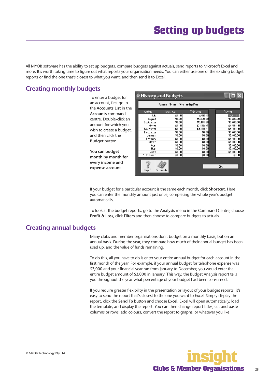<span id="page-27-0"></span>All MYOB software has the ability to set up budgets, compare budgets against actuals, send reports to Microsoft Excel and more. It's worth taking time to figure out what reports your organisation needs. You can either use one of the existing budget reports or find the one that's closest to what you want, and then send it to Excel.

### **Creating monthly budgets**

To enter a budget for an account, first go to the **Accounts List** in the **Accounts** command centre. Double-click an account for which you wish to create a budge and then click the **Budget** button.

**You can budget month by month for every income and expense account**

|                 | Aussin Name, Mar endige Feed |           |           |
|-----------------|------------------------------|-----------|-----------|
| ratida.         | مجاديه                       | Тайлам    | 1.--- I   |
| ۱A.             | Ⅲ Ⅲ                          | 136117    | EТ        |
| <b>Sugar</b>    | 10,00                        | 17,820.00 | 15,400,00 |
| Saata navn      | 10,00                        | 17.181.68 | 15,400,00 |
| dtt a           | Ⅲ Ⅲ                          | 41 122 51 | 45 AN 1   |
| ho-artw         | 41 H                         | \$400024  | 45 AND 11 |
| Dessauca        | 10,00                        | 10,00     | 15,400.00 |
| <b>LARM !</b>   | 10,00                        | 10,00     | 15,400,00 |
| Lettus,         | 11 II                        | 抑制        | 45 AN H   |
| Hey 1           | 11 II                        | 411 I II  | 45 AND 11 |
| ورنه            | 10,00                        | 10,00     | 15,400,00 |
| Нĸ              | 10,00                        | 10,00     | 15,400.00 |
| 10 <sup>2</sup> | 41 H                         | 41111     | 45 AND 10 |
| $+1 - 1$        | 41 H                         | фПП       | 40 M      |
| l•n             | Simonato.                    |           | 24        |

If your budget for a particular account is the same each month, click **Shortcut**. Here you can enter the monthly amount just once, completing the whole year's budget automatically.

To look at the budget reports, go to the **Analysis** menu in the Command Centre, choose **Profit & Loss**, click **Filters** and then choose to compare budgets to actuals.

#### **Creating annual budgets**

Many clubs and member organisations don't budget on a monthly basis, but on an annual basis. During the year, they compare how much of their annual budget has been used up, and the value of funds remaining.

To do this, all you have to do is enter your entire annual budget for each account in the first month of the year. For example, if your annual budget for telephone expense was \$3,000 and your financial year ran from January to December, you would enter the entire budget amount of \$3,000 in January. This way, the Budget Analysis report tells you throughout the year what percentage of your budget had been consumed.

If you require greater flexibility in the presentation or layout of your budget reports, it's easy to send the report that's closest to the one you want to Excel. Simply display the report, click the **Send To** button and choose **Excel**. Excel will open automatically, load the template, and display the report. You can then change report titles, cut and paste columns or rows, add colours, convert the report to graphs, or whatever you like!

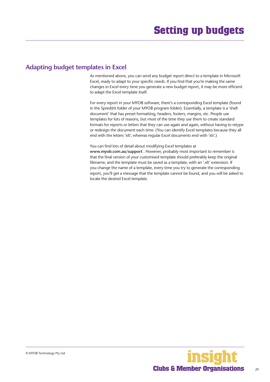#### <span id="page-28-0"></span>**Adapting budget templates in Excel**

As mentioned above, you can send any budget report direct to a template in Microsoft Excel, ready to adapt to your specific needs. If you find that you're making the same changes in Excel every time you generate a new budget report, it may be more efficient to adapt the Excel template itself.

For every report in your MYOB software, there's a corresponding Excel template (found in the Spredsht folder of your MYOB program folder). Essentially, a template is a 'shell document' that has preset formatting, headers, footers, margins, etc. People use templates for lots of reasons, but most of the time they use them to create standard formats for reports or letters that they can use again and again, without having to retype or redesign the document each time. (You can identify Excel templates because they all end with the letters 'xlt', whereas regular Excel documents end with 'xls'.)

You can find lots of detail about modifying Excel templates at **www.myob.com.au/support** . However, probably most important to remember is that the final version of your customised template should preferably keep the original filename, and the template must be saved as a template, with an '.xlt' extension. If you change the name of a template, every time you try to generate the corresponding report, you'll get a message that the template cannot be found, and you will be asked to locate the desired Excel template.

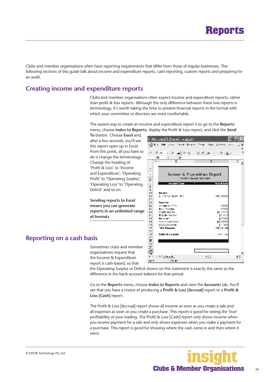<span id="page-29-0"></span>Clubs and member organisations often have reporting requirements that differ from those of regular businesses. The following sections of this guide talk about income and expenditure reports, cash reporting, custom reports and preparing for an audit.

#### **Creating income and expenditure reports**

Clubs and member organisations often expect income and expenditure reports, rather than profit & loss reports. Although the only difference between these two reports is terminology, it's worth taking the time to present financial reports in the format with which your committee or directors are most comfortable.

The easiest way to create an income and expenditure report is to go to the **Reports**  menu, choose **Index to Reports**, display the Profit & Loss report, and click the **Send** 

**To** button. Choose **Excel** and, after a few seconds, you'll see this report open up in Excel. From this point, all you have to do is change the terminology. Change the heading of 'Profit & Loss' to 'Income and Expenditure'; 'Operating Profit' to 'Operating Surplus'; 'Operating Loss' to 'Operating Deficit' and so on.

**Sending reports to Excel means you can generate reports in an unlimited range of formats**



#### **Reporting on a cash basis**

Sometimes clubs and member organisations request that the Income & Expenditure report is cash-based, so that

the Operating Surplus or Deficit shown on this statement is exactly the same as the difference in the bank account balance for that period.

Go to the **Reports** menu, choose **Index to Reports** and view the **Accounts** tab. You'll see that you have a choice of producing a **Profit & Loss [Accrual]** report or a **Profit & Loss [Cash]** report.

The Profit & Loss [Accrual] report shows all income as soon as you create a sale and all expenses as soon as you create a purchase. This report is good for seeing the 'true' profitability of your trading. The Profit & Loss [Cash] report only shows income when you receive payment for a sale and only shows expenses when you make a payment for a purchase. This report is good for showing where the cash came in and then where it went.

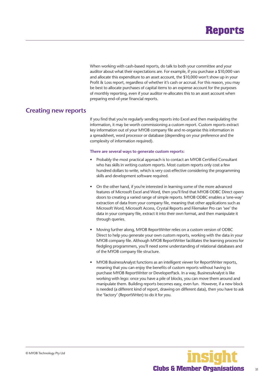

<span id="page-30-0"></span>When working with cash-based reports, do talk to both your committee and your auditor about what their expectations are. For example, if you purchase a \$10,000 van and allocate this expenditure to an asset account, the \$10,000 won't show up in your Profit & Loss report, regardless of whether it's cash or accrual. For this reason, you may be best to allocate purchases of capital items to an expense account for the purposes of monthly reporting, even if your auditor re-allocates this to an asset account when preparing end-of-year financial reports.

#### **Creating new reports**

If you find that you're regularly sending reports into Excel and then manipulating the information, it may be worth commissioning a custom report. Custom reports extract key information out of your MYOB company file and re-organise this information in a spreadsheet, word processor or database (depending on your preference and the complexity of information required).

#### **There are several ways to generate custom reports:**

- Probably the most practical approach is to contact an MYOB Certified Consultant who has skills in writing custom reports. Most custom reports only cost a few hundred dollars to write, which is very cost-effective considering the programming skills and development software required.
- On the other hand, if you're interested in learning some of the more advanced features of Microsoft Excel and Word, then you'll find that MYOB ODBC Direct opens doors to creating a varied range of simple reports. MYOB ODBC enables a 'one-way' extraction of data from your company file, meaning that other applications such as Microsoft Word, Microsoft Access, Crystal Reports and Filemaker Pro can 'see' the data in your company file, extract it into their own format, and then manipulate it through queries.
- Moving further along, MYOB ReportWriter relies on a custom version of ODBC Direct to help you generate your own custom reports, working with the data in your MYOB company file. Although MYOB ReportWriter facilitates the learning process for fledgling programmers, you'll need some understanding of relational databases and of the MYOB company file structure.
- MYOB BusinessAnalyst functions as an intelligent viewer for ReportWriter reports, meaning that you can enjoy the benefits of custom reports without having to purchase MYOB ReportWriter or DeveloperPack. In a way, BusinessAnalyst is like working with lego: once you have a pile of blocks, you can move them around and manipulate them. Building reports becomes easy, even fun. However, if a new block is needed (a different kind of report, drawing on different data), then you have to ask the 'factory' (ReportWriter) to do it for you.

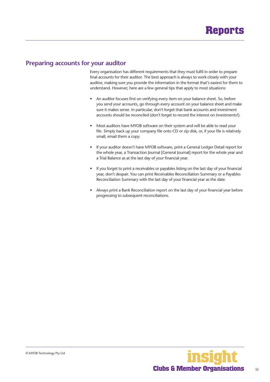#### <span id="page-31-0"></span>**Preparing accounts for your auditor**

Every organisation has different requirements that they must fulfil in order to prepare final accounts for their auditor. The best approach is always to work closely with your auditor, making sure you provide the information in the format that's easiest for them to understand. However, here are a few general tips that apply to most situations:

- An auditor focuses first on verifying every item on your balance sheet. So, before you send your accounts, go through every account on your balance sheet and make sure it makes sense. In particular, don't forget that bank accounts and investment accounts should be reconciled (don't forget to record the interest on investments!).
- Most auditors have MYOB software on their system and will be able to read your file. Simply back up your company file onto CD or zip disk, or, if your file is relatively small, email them a copy.
- If your auditor doesn't have MYOB software, print a General Ledger Detail report for the whole year, a Transaction Journal [General Journal] report for the whole year and a Trial Balance as at the last day of your financial year.
- If you forget to print a receivables or payables listing on the last day of your financial year, don't despair. You can print Receivables Reconciliation Summary or a Payables Reconciliation Summary with the last day of your financial year as the date.
- Always print a Bank Reconciliation report on the last day of your financial year before progressing to subsequent reconciliations.

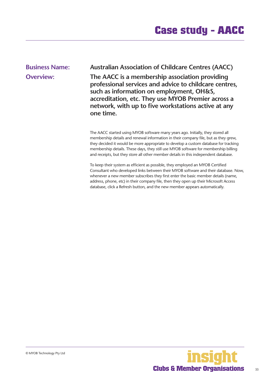<span id="page-32-0"></span>**Business Name: Australian Association of Childcare Centres (AACC)**

**Overview: The AACC is a membership association providing professional services and advice to childcare centres, such as information on employment, OH&S, accreditation, etc. They use MYOB Premier across a network, with up to five workstations active at any one time.**

> The AACC started using MYOB software many years ago. Initially, they stored all membership details and renewal information in their company file, but as they grew, they decided it would be more appropriate to develop a custom database for tracking membership details. These days, they still use MYOB software for membership billing and receipts, but they store all other member details in this independent database.

To keep their system as efficient as possible, they employed an MYOB Certified Consultant who developed links between their MYOB software and their database. Now, whenever a new member subscribes they first enter the basic member details (name, address, phone, etc) in their company file, then they open up their Microsoft Access database, click a Refresh button, and the new member appears automatically.

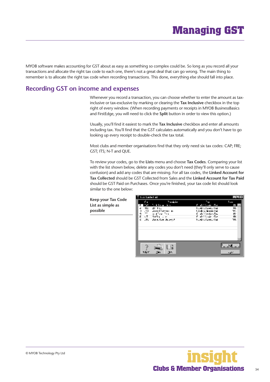# **Managing GST**

<span id="page-33-0"></span>MYOB software makes accounting for GST about as easy as something so complex could be. So long as you record all your transactions and allocate the right tax code to each one, there's not a great deal that can go wrong. The main thing to remember is to allocate the right tax code when recording transactions. This done, everything else should fall into place.

#### **Recording GST on income and expenses**

Whenever you record a transaction, you can choose whether to enter the amount as taxinclusive or tax-exclusive by marking or clearing the **Tax Inclusive** checkbox in the top right of every window. (When recording payments or receipts in MYOB BusinessBasics and FirstEdge, you will need to click the **Split** button in order to view this option.)

Usually, you'll find it easiest to mark the **Tax Inclusive** checkbox and enter all amounts including tax. You'll find that the GST calculates automatically and you don't have to go looking up every receipt to double-check the tax total.

Most clubs and member organisations find that they only need six tax codes: CAP; FRE; GST; ITS; N-T and QUE.

To review your codes, go to the **Lists** menu and choose **Tax Codes**. Comparing your list with the list shown below, delete any codes you don't need (they'll only serve to cause confusion) and add any codes that are missing. For all tax codes, the **Linked Account for Tax Collected** should be GST Collected from Sales and the **Linked Account for Tax Paid**  should be GST Paid on Purchases. Once you're finished, your tax code list should look similar to the one below:

**Keep your Tax Code List as simple as possible**



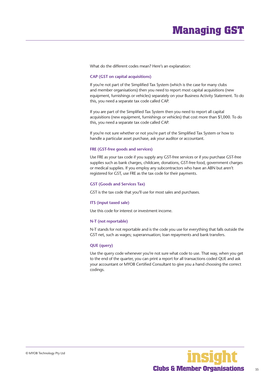# **Managing GST**

<span id="page-34-0"></span>What do the different codes mean? Here's an explanation:

#### **CAP (GST on capital acquisitions)**

If you're not part of the Simplified Tax System (which is the case for many clubs and member organisations) then you need to report most capital acquisitions (new equipment, furnishings or vehicles) separately on your Business Activity Statement. To do this, you need a separate tax code called CAP.

If you are part of the Simplified Tax System then you need to report all capital acquisitions (new equipment, furnishings or vehicles) that cost more than \$1,000. To do this, you need a separate tax code called CAP.

If you're not sure whether or not you're part of the Simplified Tax System or how to handle a particular asset purchase, ask your auditor or accountant.

#### **FRE (GST-free goods and services)**

Use FRE as your tax code if you supply any GST-free services or if you purchase GST-free supplies such as bank charges, childcare, donations, GST-free food, government charges or medical supplies. If you employ any subcontractors who have an ABN but aren't registered for GST, use FRE as the tax code for their payments.

#### **GST (Goods and Services Tax)**

GST is the tax code that you'll use for most sales and purchases.

#### **ITS (input taxed sale)**

Use this code for interest or investment income.

#### **N-T (not reportable)**

N-T stands for not reportable and is the code you use for everything that falls outside the GST net, such as wages; superannuation; loan repayments and bank transfers.

#### **QUE (query)**

Use the query code whenever you're not sure what code to use. That way, when you get to the end of the quarter, you can print a report for all transactions coded QUE and ask your accountant or MYOB Certified Consultant to give you a hand choosing the correct codings.

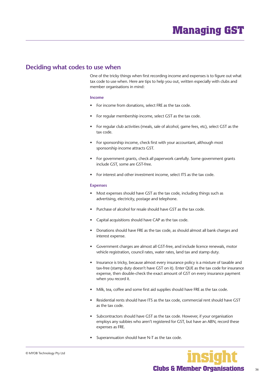#### <span id="page-35-0"></span>**Deciding what codes to use when**

One of the tricky things when first recording income and expenses is to figure out what tax code to use when. Here are tips to help you out, written especially with clubs and member organisations in mind:

#### **Income**

- For income from donations, select FRE as the tax code.
- For regular membership income, select GST as the tax code.
- For regular club activities (meals, sale of alcohol, game fees, etc), select GST as the tax code.
- For sponsorship income, check first with your accountant, although most sponsorship income attracts GST.
- For government grants, check all paperwork carefully. Some government grants include GST, some are GST-free.
- For interest and other investment income, select ITS as the tax code.

#### **Expenses**

- Most expenses should have GST as the tax code, including things such as advertising, electricity, postage and telephone.
- Purchase of alcohol for resale should have GST as the tax code.
- Capital acquisitions should have CAP as the tax code.
- Donations should have FRE as the tax code, as should almost all bank charges and interest expense.
- Government charges are almost all GST-free, and include licence renewals, motor vehicle registration, council rates, water rates, land tax and stamp duty.
- Insurance is tricky, because almost every insurance policy is a mixture of taxable and tax-free (stamp duty doesn't have GST on it). Enter QUE as the tax code for insurance expense, then double-check the exact amount of GST on every insurance payment when you record it.
- Milk, tea, coffee and some first aid supplies should have FRE as the tax code.
- Residential rents should have ITS as the tax code, commercial rent should have GST as the tax code.
- Subcontractors should have GST as the tax code. However, if your organisation employs any subbies who aren't registered for GST, but have an ABN, record these expenses as FRE.
- Superannuation should have N-T as the tax code.